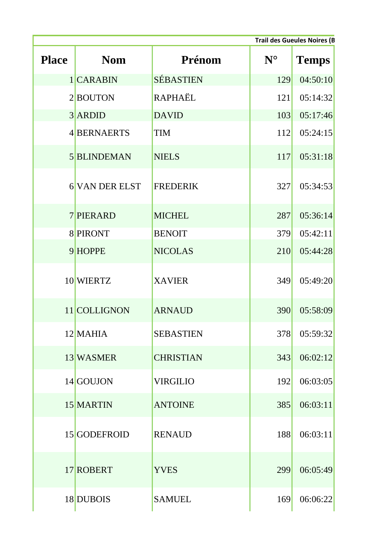|              | <b>Trail des Gueules Noires (B</b> |                  |             |              |
|--------------|------------------------------------|------------------|-------------|--------------|
| <b>Place</b> | <b>Nom</b>                         | Prénom           | $N^{\circ}$ | <b>Temps</b> |
|              | 1 CARABIN                          | <b>SÉBASTIEN</b> | 129         | 04:50:10     |
|              | 2BOUTON                            | <b>RAPHAËL</b>   | 121         | 05:14:32     |
|              | 3 ARDID                            | <b>DAVID</b>     | 103         | 05:17:46     |
|              | 4 BERNAERTS                        | TIM              | 112         | 05:24:15     |
|              | <b>5 BLINDEMAN</b>                 | <b>NIELS</b>     | 117         | 05:31:18     |
|              | <b>6 VAN DER ELST</b>              | <b>FREDERIK</b>  | 327         | 05:34:53     |
|              | <b>7 PIERARD</b>                   | <b>MICHEL</b>    | 287         | 05:36:14     |
|              | 8 PIRONT                           | <b>BENOIT</b>    | 379         | 05:42:11     |
|              | 9 HOPPE                            | <b>NICOLAS</b>   | 210         | 05:44:28     |
|              | 10 WIERTZ                          | <b>XAVIER</b>    | 349         | 05:49:20     |
|              | 11 COLLIGNON                       | <b>ARNAUD</b>    | 390         | 05:58:09     |
|              | $12$ MAHIA                         | <b>SEBASTIEN</b> | 378         | 05:59:32     |
|              | 13 WASMER                          | <b>CHRISTIAN</b> | 343         | 06:02:12     |
|              | 14 GOUJON                          | <b>VIRGILIO</b>  | 192         | 06:03:05     |
|              | 15 MARTIN                          | <b>ANTOINE</b>   | 385         | 06:03:11     |
|              | 15 GODEFROID                       | <b>RENAUD</b>    | 188         | 06:03:11     |
|              | 17 ROBERT                          | <b>YVES</b>      | 299         | 06:05:49     |
|              | 18 DUBOIS                          | <b>SAMUEL</b>    | 169         | 06:06:22     |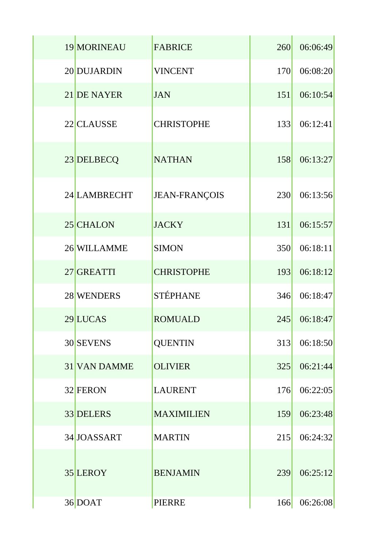| 19 MORINEAU  | <b>FABRICE</b>    | 260 | 06:06:49 |
|--------------|-------------------|-----|----------|
| 20 DUJARDIN  | <b>VINCENT</b>    | 170 | 06:08:20 |
| 21 DE NAYER  | <b>JAN</b>        | 151 | 06:10:54 |
| 22 CLAUSSE   | <b>CHRISTOPHE</b> | 133 | 06:12:41 |
| 23 DELBECQ   | <b>NATHAN</b>     | 158 | 06:13:27 |
| 24 LAMBRECHT | JEAN-FRANÇOIS     | 230 | 06:13:56 |
| 25 CHALON    | <b>JACKY</b>      | 131 | 06:15:57 |
| 26 WILLAMME  | <b>SIMON</b>      | 350 | 06:18:11 |
| 27 GREATTI   | <b>CHRISTOPHE</b> | 193 | 06:18:12 |
| 28 WENDERS   | <b>STÉPHANE</b>   | 346 | 06:18:47 |
| 29 LUCAS     | <b>ROMUALD</b>    | 245 | 06:18:47 |
| 30 SEVENS    | <b>QUENTIN</b>    | 313 | 06:18:50 |
| 31 VAN DAMME | <b>OLIVIER</b>    | 325 | 06:21:44 |
| 32 FERON     | <b>LAURENT</b>    | 176 | 06:22:05 |
| 33 DELERS    | <b>MAXIMILIEN</b> | 159 | 06:23:48 |
| 34 JOASSART  | <b>MARTIN</b>     | 215 | 06:24:32 |
| 35 LEROY     | <b>BENJAMIN</b>   | 239 | 06:25:12 |
| 36 DOAT      | <b>PIERRE</b>     | 166 | 06:26:08 |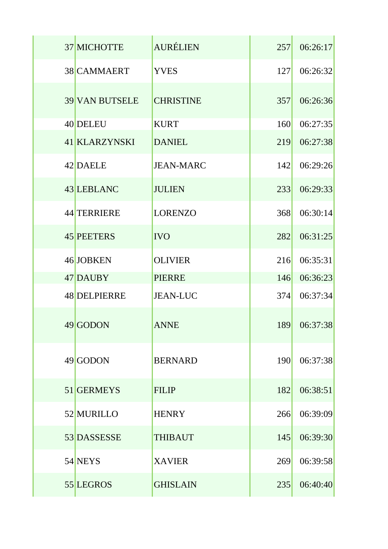| 37 MICHOTTE           | <b>AURÉLIEN</b>  | 257        | 06:26:17 |
|-----------------------|------------------|------------|----------|
| 38 CAMMAERT           | <b>YVES</b>      | <b>127</b> | 06:26:32 |
| <b>39 VAN BUTSELE</b> | <b>CHRISTINE</b> | 357        | 06:26:36 |
| 40 DELEU              | <b>KURT</b>      | 160        | 06:27:35 |
| 41 KLARZYNSKI         | <b>DANIEL</b>    | 219        | 06:27:38 |
| 42 DAELE              | <b>JEAN-MARC</b> | 142        | 06:29:26 |
| 43 LEBLANC            | <b>JULIEN</b>    | 233        | 06:29:33 |
| 44 TERRIERE           | <b>LORENZO</b>   | 368        | 06:30:14 |
| 45 PEETERS            | <b>IVO</b>       | 282        | 06:31:25 |
| 46 JOBKEN             | <b>OLIVIER</b>   | 216        | 06:35:31 |
| 47 DAUBY              | <b>PIERRE</b>    | 146        | 06:36:23 |
| <b>48 DELPIERRE</b>   | <b>JEAN-LUC</b>  | 374        | 06:37:34 |
| 49 GODON              | <b>ANNE</b>      | 189        | 06:37:38 |
| 49 GODON              | <b>BERNARD</b>   | 190        | 06:37:38 |
| 51 GERMEYS            | <b>FILIP</b>     | 182        | 06:38:51 |
| 52 MURILLO            | <b>HENRY</b>     | 266        | 06:39:09 |
| 53 DASSESSE           | <b>THIBAUT</b>   | 145        | 06:39:30 |
| 54 NEYS               | <b>XAVIER</b>    | 269        | 06:39:58 |
| 55 LEGROS             | <b>GHISLAIN</b>  | 235        | 06:40:40 |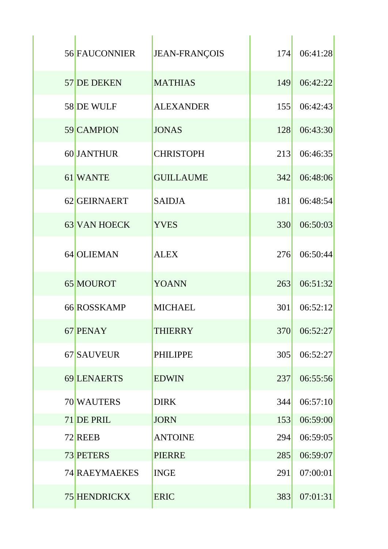| <b>56 FAUCONNIER</b> | <b>JEAN-FRANÇOIS</b> | 174 | 06:41:28 |
|----------------------|----------------------|-----|----------|
| 57 DE DEKEN          | <b>MATHIAS</b>       | 149 | 06:42:22 |
| 58 DE WULF           | <b>ALEXANDER</b>     | 155 | 06:42:43 |
| 59 CAMPION           | <b>JONAS</b>         | 128 | 06:43:30 |
| 60 JANTHUR           | <b>CHRISTOPH</b>     | 213 | 06:46:35 |
| 61 WANTE             | <b>GUILLAUME</b>     | 342 | 06:48:06 |
| 62 GEIRNAERT         | <b>SAIDJA</b>        | 181 | 06:48:54 |
| 63 VAN HOECK         | <b>YVES</b>          | 330 | 06:50:03 |
| 64 OLIEMAN           | <b>ALEX</b>          | 276 | 06:50:44 |
| 65 MOUROT            | <b>YOANN</b>         | 263 | 06:51:32 |
| 66 ROSSKAMP          | <b>MICHAEL</b>       | 301 | 06:52:12 |
| 67 PENAY             | <b>THIERRY</b>       | 370 | 06:52:27 |
| 67 SAUVEUR           | <b>PHILIPPE</b>      | 305 | 06:52:27 |
| 69 LENAERTS          | <b>EDWIN</b>         | 237 | 06:55:56 |
| 70 WAUTERS           | <b>DIRK</b>          | 344 | 06:57:10 |
| 71 DE PRIL           | <b>JORN</b>          | 153 | 06:59:00 |
| 72 REEB              | <b>ANTOINE</b>       | 294 | 06:59:05 |
| 73 PETERS            | <b>PIERRE</b>        | 285 | 06:59:07 |
| 74 RAEYMAEKES        | <b>INGE</b>          | 291 | 07:00:01 |
| <b>75 HENDRICKX</b>  | <b>ERIC</b>          | 383 | 07:01:31 |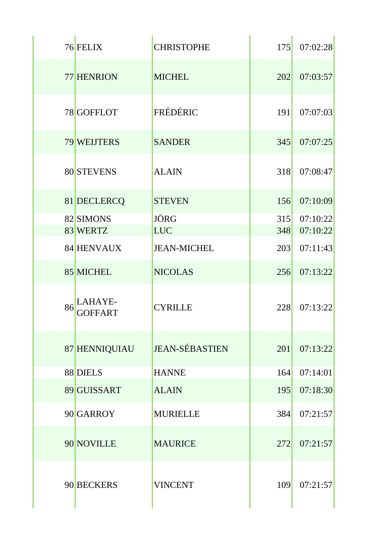|    | 76 FELIX                  | <b>CHRISTOPHE</b>     | 175        | 07:02:28 |
|----|---------------------------|-----------------------|------------|----------|
|    | 77 HENRION                | <b>MICHEL</b>         | 202        | 07:03:57 |
|    | 78 GOFFLOT                | FRÉDÉRIC              | <b>191</b> | 07:07:03 |
|    | 79 WEIJTERS               | <b>SANDER</b>         | 345        | 07:07:25 |
|    | 80 STEVENS                | <b>ALAIN</b>          | 318        | 07:08:47 |
|    | 81 DECLERCQ               | <b>STEVEN</b>         | 156        | 07:10:09 |
|    | 82 SIMONS                 | <b>JÖRG</b>           | 315        | 07:10:22 |
|    | 83 WERTZ                  | <b>LUC</b>            | 348        | 07:10:22 |
|    | 84 HENVAUX                | <b>JEAN-MICHEL</b>    | 203        | 07:11:43 |
|    | 85 MICHEL                 | <b>NICOLAS</b>        | 256        | 07:13:22 |
| 86 | LAHAYE-<br><b>GOFFART</b> | <b>CYRILLE</b>        | 228        | 07:13:22 |
|    | 87 HENNIQUIAU             | <b>JEAN-SÉBASTIEN</b> | 201        | 07:13:22 |
|    | 88 DIELS                  | <b>HANNE</b>          | 164        | 07:14:01 |
|    | 89 GUISSART               | <b>ALAIN</b>          | <b>195</b> | 07:18:30 |
|    | 90 GARROY                 | <b>MURIELLE</b>       | 384        | 07:21:57 |
|    | 90 NOVILLE                | <b>MAURICE</b>        | 272        | 07:21:57 |
|    | 90 BECKERS                | <b>VINCENT</b>        | 109        | 07:21:57 |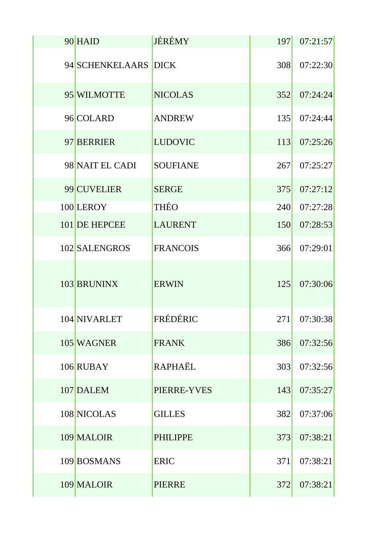| 90 HAID              | <b>JÉRÉMY</b>   | 197 | 07:21:57 |
|----------------------|-----------------|-----|----------|
| 94 SCHENKELAARS DICK |                 | 308 | 07:22:30 |
| 95 WILMOTTE          | <b>NICOLAS</b>  | 352 | 07:24:24 |
| 96 COLARD            | <b>ANDREW</b>   | 135 | 07:24:44 |
| 97 BERRIER           | <b>LUDOVIC</b>  | 113 | 07:25:26 |
| 98 NAIT EL CADI      | <b>SOUFIANE</b> | 267 | 07:25:27 |
| 99 CUVELIER          | <b>SERGE</b>    | 375 | 07:27:12 |
| 100 LEROY            | <b>THÉO</b>     | 240 | 07:27:28 |
| 101 DE HEPCEE        | <b>LAURENT</b>  | 150 | 07:28:53 |
| 102 SALENGROS        | <b>FRANCOIS</b> | 366 | 07:29:01 |
| 103 BRUNINX          | <b>ERWIN</b>    | 125 | 07:30:06 |
| 104 NIVARLET         | FRÉDÉRIC        | 271 | 07:30:38 |
| 105 WAGNER           | <b>FRANK</b>    | 386 | 07:32:56 |
| 106 RUBAY            | <b>RAPHAËL</b>  | 303 | 07:32:56 |
| 107 DALEM            | PIERRE-YVES     | 143 | 07:35:27 |
| 108 NICOLAS          | <b>GILLES</b>   | 382 | 07:37:06 |
| 109 MALOIR           | <b>PHILIPPE</b> | 373 | 07:38:21 |
| 109 BOSMANS          | <b>ERIC</b>     | 371 | 07:38:21 |
| 109 MALOIR           | <b>PIERRE</b>   | 372 | 07:38:21 |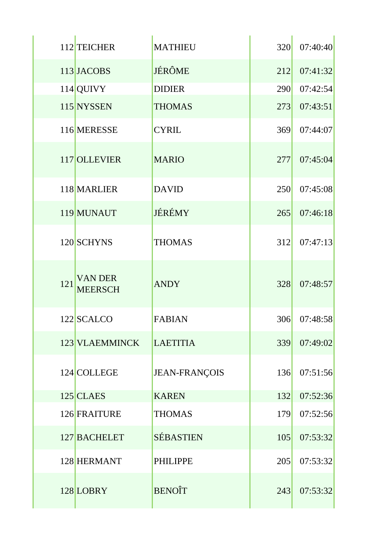|     | 112 TEICHER                      | <b>MATHIEU</b>       | 320 | 07:40:40 |
|-----|----------------------------------|----------------------|-----|----------|
|     | 113 JACOBS                       | <b>JÉRÔME</b>        | 212 | 07:41:32 |
|     | 114 QUIVY                        | <b>DIDIER</b>        | 290 | 07:42:54 |
|     | 115 NYSSEN                       | <b>THOMAS</b>        | 273 | 07:43:51 |
|     | 116 MERESSE                      | <b>CYRIL</b>         | 369 | 07:44:07 |
|     | 117 OLLEVIER                     | <b>MARIO</b>         | 277 | 07:45:04 |
|     | 118 MARLIER                      | <b>DAVID</b>         | 250 | 07:45:08 |
|     | 119 MUNAUT                       | JÉRÉMY               | 265 | 07:46:18 |
|     | 120 SCHYNS                       | <b>THOMAS</b>        | 312 | 07:47:13 |
| 121 | <b>VAN DER</b><br><b>MEERSCH</b> | <b>ANDY</b>          | 328 | 07:48:57 |
|     | 122 SCALCO                       | <b>FABIAN</b>        | 306 | 07:48:58 |
|     | 123 VLAEMMINCK                   | <b>LAETITIA</b>      | 339 | 07:49:02 |
|     | 124 COLLEGE                      | <b>JEAN-FRANÇOIS</b> | 136 | 07:51:56 |
|     | $125$ CLAES                      | <b>KAREN</b>         | 132 | 07:52:36 |
|     | 126 FRAITURE                     | <b>THOMAS</b>        | 179 | 07:52:56 |
|     | 127 BACHELET                     | <b>SÉBASTIEN</b>     | 105 | 07:53:32 |
|     | 128 HERMANT                      | <b>PHILIPPE</b>      | 205 | 07:53:32 |
|     | 128 LOBRY                        | <b>BENOIT</b>        | 243 | 07:53:32 |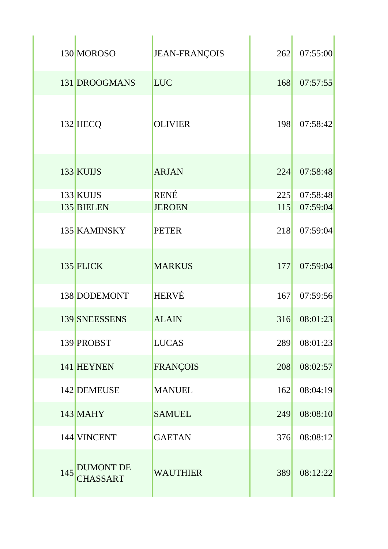|     | 130 MOROSO                          | <b>JEAN-FRANÇOIS</b> | 262 | 07:55:00 |
|-----|-------------------------------------|----------------------|-----|----------|
|     | 131 DROOGMANS                       | <b>LUC</b>           | 168 | 07:57:55 |
|     | 132 HECQ                            | <b>OLIVIER</b>       | 198 | 07:58:42 |
|     | 133 KUIJS                           | <b>ARJAN</b>         | 224 | 07:58:48 |
|     | 133 KUIJS                           | <b>RENÉ</b>          | 225 | 07:58:48 |
|     | 135 BIELEN                          | <b>JEROEN</b>        | 115 | 07:59:04 |
|     | 135 KAMINSKY                        | <b>PETER</b>         | 218 | 07:59:04 |
|     | 135 FLICK                           | <b>MARKUS</b>        | 177 | 07:59:04 |
|     | 138 DODEMONT                        | <b>HERVÉ</b>         | 167 | 07:59:56 |
|     | 139 SNEESSENS                       | <b>ALAIN</b>         | 316 | 08:01:23 |
|     | 139 PROBST                          | <b>LUCAS</b>         | 289 | 08:01:23 |
|     | 141 HEYNEN                          | <b>FRANÇOIS</b>      | 208 | 08:02:57 |
|     | 142 DEMEUSE                         | <b>MANUEL</b>        | 162 | 08:04:19 |
|     | 143 MAHY                            | <b>SAMUEL</b>        | 249 | 08:08:10 |
|     | 144 VINCENT                         | <b>GAETAN</b>        | 376 | 08:08:12 |
| 145 | <b>DUMONT DE</b><br><b>CHASSART</b> | <b>WAUTHIER</b>      | 389 | 08:12:22 |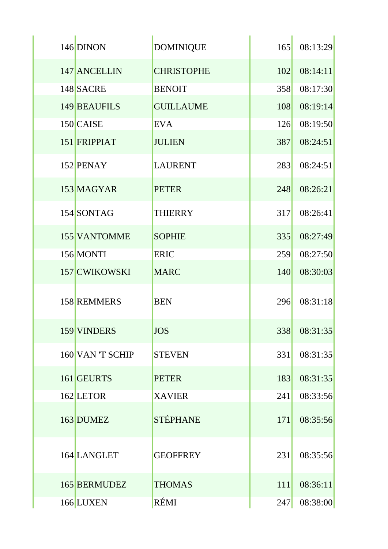| 146 DINON          | <b>DOMINIQUE</b>  | 165 | 08:13:29 |
|--------------------|-------------------|-----|----------|
| 147 ANCELLIN       | <b>CHRISTOPHE</b> | 102 | 08:14:11 |
| 148 SACRE          | <b>BENOIT</b>     | 358 | 08:17:30 |
| 149 BEAUFILS       | <b>GUILLAUME</b>  | 108 | 08:19:14 |
| 150 CAISE          | <b>EVA</b>        | 126 | 08:19:50 |
| 151 FRIPPIAT       | <b>JULIEN</b>     | 387 | 08:24:51 |
| 152 PENAY          | <b>LAURENT</b>    | 283 | 08:24:51 |
| 153 MAGYAR         | <b>PETER</b>      | 248 | 08:26:21 |
| 154 SONTAG         | <b>THIERRY</b>    | 317 | 08:26:41 |
| 155 VANTOMME       | <b>SOPHIE</b>     | 335 | 08:27:49 |
| 156 MONTI          | <b>ERIC</b>       | 259 | 08:27:50 |
| 157 CWIKOWSKI      | <b>MARC</b>       | 140 | 08:30:03 |
| <b>158 REMMERS</b> | <b>BEN</b>        | 296 | 08:31:18 |
| 159 VINDERS        | <b>JOS</b>        | 338 | 08:31:35 |
| 160 VAN 'T SCHIP   | <b>STEVEN</b>     | 331 | 08:31:35 |
| 161 GEURTS         | <b>PETER</b>      | 183 | 08:31:35 |
| 162 LETOR          | <b>XAVIER</b>     | 241 | 08:33:56 |
| 163 DUMEZ          | <b>STÉPHANE</b>   | 171 | 08:35:56 |
| 164 LANGLET        | <b>GEOFFREY</b>   | 231 | 08:35:56 |
| 165 BERMUDEZ       | <b>THOMAS</b>     | 111 | 08:36:11 |
| 166 LUXEN          | RÉMI              | 247 | 08:38:00 |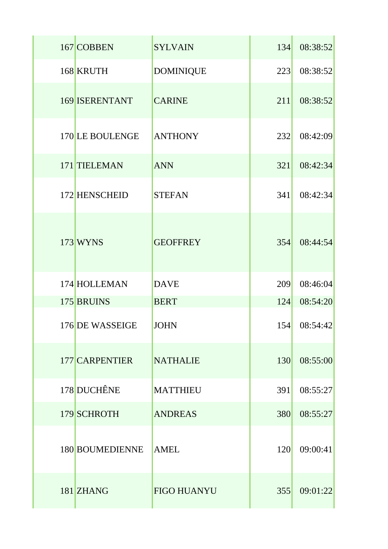| 167 COBBEN            | <b>SYLVAIN</b>     | 134 | 08:38:52 |
|-----------------------|--------------------|-----|----------|
| 168 KRUTH             | <b>DOMINIQUE</b>   | 223 | 08:38:52 |
| <b>169 ISERENTANT</b> | <b>CARINE</b>      | 211 | 08:38:52 |
| 170 LE BOULENGE       | <b>ANTHONY</b>     | 232 | 08:42:09 |
| 171 TIELEMAN          | <b>ANN</b>         | 321 | 08:42:34 |
| 172 HENSCHEID         | <b>STEFAN</b>      | 341 | 08:42:34 |
| 173 WYNS              | <b>GEOFFREY</b>    | 354 | 08:44:54 |
| 174 HOLLEMAN          | <b>DAVE</b>        | 209 | 08:46:04 |
| 175 BRUINS            | <b>BERT</b>        | 124 | 08:54:20 |
| 176 DE WASSEIGE       | <b>JOHN</b>        | 154 | 08:54:42 |
| 177 CARPENTIER        | <b>NATHALIE</b>    | 130 | 08:55:00 |
| 178 DUCHÊNE           | <b>MATTHIEU</b>    | 391 | 08:55:27 |
| 179 SCHROTH           | <b>ANDREAS</b>     | 380 | 08:55:27 |
| 180 BOUMEDIENNE       | <b>AMEL</b>        | 120 | 09:00:41 |
| 181 ZHANG             | <b>FIGO HUANYU</b> | 355 | 09:01:22 |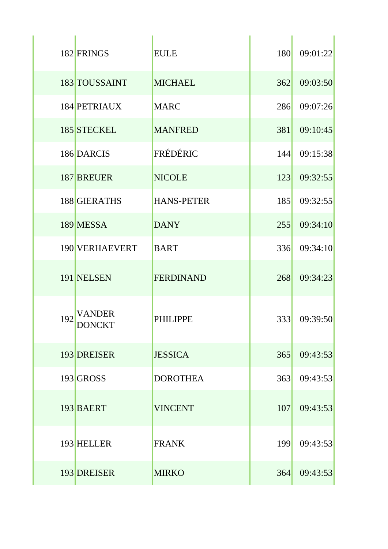|     | 182 FRINGS       | <b>EULE</b>       | 180 | 09:01:22 |
|-----|------------------|-------------------|-----|----------|
|     | 183 TOUSSAINT    | <b>MICHAEL</b>    | 362 | 09:03:50 |
|     | 184 PETRIAUX     | <b>MARC</b>       | 286 | 09:07:26 |
|     | 185 STECKEL      | <b>MANFRED</b>    | 381 | 09:10:45 |
|     | 186 DARCIS       | FRÉDÉRIC          | 144 | 09:15:38 |
|     | 187 BREUER       | <b>NICOLE</b>     | 123 | 09:32:55 |
|     | 188 GIERATHS     | <b>HANS-PETER</b> | 185 | 09:32:55 |
|     | 189 MESSA        | <b>DANY</b>       | 255 | 09:34:10 |
|     | 190 VERHAEVERT   | <b>BART</b>       | 336 | 09:34:10 |
|     | 191 NELSEN       | <b>FERDINAND</b>  | 268 | 09:34:23 |
| 192 | VANDER<br>DONCKT | <b>PHILIPPE</b>   | 333 | 09:39:50 |
|     | 193 DREISER      | <b>JESSICA</b>    | 365 | 09:43:53 |
|     | 193 GROSS        | <b>DOROTHEA</b>   | 363 | 09:43:53 |
|     | 193 BAERT        | <b>VINCENT</b>    | 107 | 09:43:53 |
|     | 193 HELLER       | <b>FRANK</b>      | 199 | 09:43:53 |
|     | 193 DREISER      | <b>MIRKO</b>      | 364 | 09:43:53 |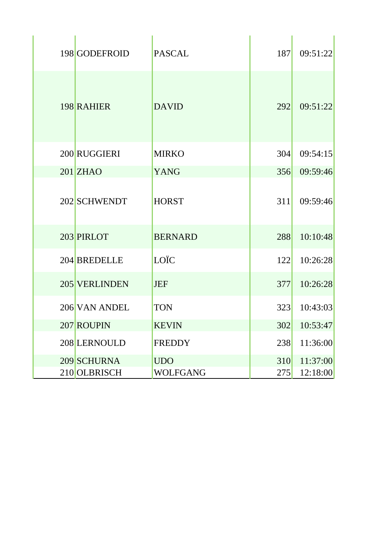| 198 GODEFROID | <b>PASCAL</b>   | 187 | 09:51:22 |
|---------------|-----------------|-----|----------|
| 198 RAHIER    | <b>DAVID</b>    | 292 | 09:51:22 |
| 200 RUGGIERI  | <b>MIRKO</b>    | 304 | 09:54:15 |
| $201$ ZHAO    | <b>YANG</b>     | 356 | 09:59:46 |
| 202 SCHWENDT  | <b>HORST</b>    | 311 | 09:59:46 |
| 203 PIRLOT    | <b>BERNARD</b>  | 288 | 10:10:48 |
| 204 BREDELLE  | LOÏC            | 122 | 10:26:28 |
| 205 VERLINDEN | <b>JEF</b>      | 377 | 10:26:28 |
| 206 VAN ANDEL | <b>TON</b>      | 323 | 10:43:03 |
| 207 ROUPIN    | KEVIN           | 302 | 10:53:47 |
| 208 LERNOULD  | <b>FREDDY</b>   | 238 | 11:36:00 |
| 209 SCHURNA   | <b>UDO</b>      | 310 | 11:37:00 |
| 210 OLBRISCH  | <b>WOLFGANG</b> | 275 | 12:18:00 |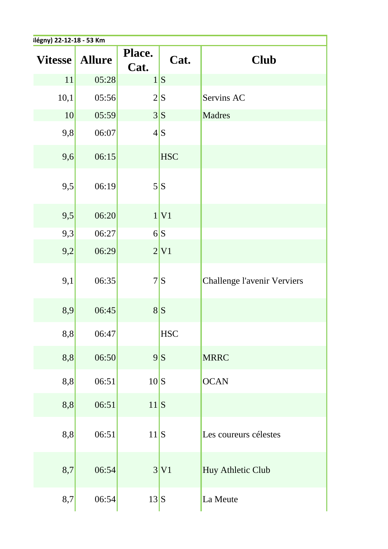| Ilégny) 22-12-18 - 53 Km |               |                |                  |                             |  |
|--------------------------|---------------|----------------|------------------|-----------------------------|--|
| <b>Vitesse</b>           | <b>Allure</b> | Place.<br>Cat. | Cat.             | <b>Club</b>                 |  |
| 11                       | 05:28         |                | 1 S              |                             |  |
| 10,1                     | 05:56         |                | 2 S              | Servins AC                  |  |
| 10                       | 05:59         |                | $3\vert S$       | Madres                      |  |
| 9,8                      | 06:07         |                | 4 S              |                             |  |
| 9,6                      | 06:15         |                | <b>HSC</b>       |                             |  |
| 9,5                      | 06:19         |                | $5\vert S \vert$ |                             |  |
| 9,5                      | 06:20         |                | 1 V1             |                             |  |
| 9,3                      | 06:27         |                | 6S               |                             |  |
| 9,2                      | 06:29         |                | 2 V1             |                             |  |
| 9,1                      | 06:35         |                | 7S               | Challenge l'avenir Verviers |  |
| 8,9                      | 06:45         |                | 8S               |                             |  |
| 8,8                      | 06:47         |                | <b>HSC</b>       |                             |  |
| 8,8                      | 06:50         |                | 9S               | <b>MRRC</b>                 |  |
| 8,8                      | 06:51         | $10\text{ S}$  |                  | <b>OCAN</b>                 |  |
| 8,8                      | 06:51         | 11 S           |                  |                             |  |
| 8,8                      | 06:51         | 11 S           |                  | Les coureurs célestes       |  |
| 8,7                      | 06:54         |                | 3 V1             | Huy Athletic Club           |  |
| 8,7                      | 06:54         | 13S            |                  | La Meute                    |  |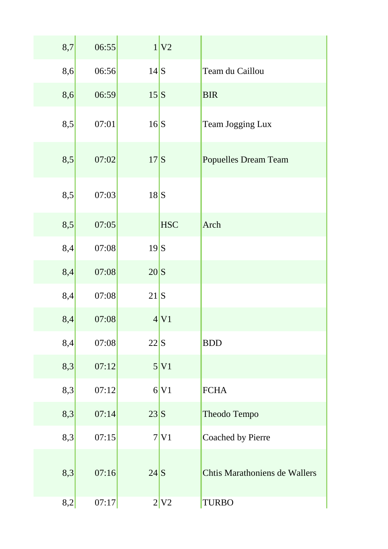| 8,7 | 06:55 |                | 1 V2       |                               |
|-----|-------|----------------|------------|-------------------------------|
| 8,6 | 06:56 | $14\text{S}$   |            | Team du Caillou               |
| 8,6 | 06:59 | $15\text{S}$   |            | <b>BIR</b>                    |
| 8,5 | 07:01 | 16S            |            | <b>Team Jogging Lux</b>       |
| 8,5 | 07:02 | 17S            |            | <b>Popuelles Dream Team</b>   |
| 8,5 | 07:03 | 18S            |            |                               |
| 8,5 | 07:05 |                | <b>HSC</b> | Arch                          |
| 8,4 | 07:08 | 19S            |            |                               |
| 8,4 | 07:08 | $20\mathrm{S}$ |            |                               |
| 8,4 | 07:08 | $21$ $S$       |            |                               |
| 8,4 | 07:08 |                | 4 V1       |                               |
| 8,4 | 07:08 | $22\vert S$    |            | <b>BDD</b>                    |
| 8,3 | 07:12 |                | 5 V1       |                               |
| 8,3 | 07:12 |                | 6 V1       | <b>FCHA</b>                   |
| 8,3 | 07:14 | 23S            |            | Theodo Tempo                  |
| 8,3 | 07:15 |                | 7 V1       | Coached by Pierre             |
| 8,3 | 07:16 | $24$ S         |            | Chtis Marathoniens de Wallers |
| 8,2 | 07:17 |                | 2 V2       | <b>TURBO</b>                  |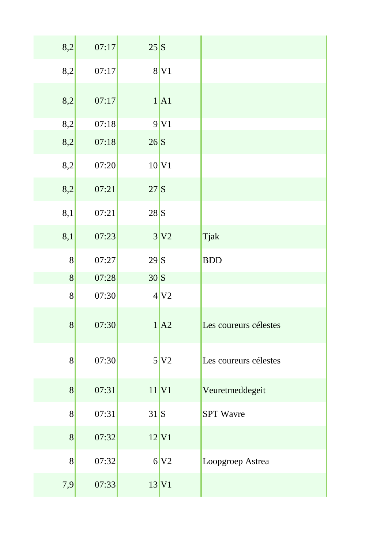| 8,2             | 07:17 | $25\text{S}$   |                     |                       |
|-----------------|-------|----------------|---------------------|-----------------------|
| 8,2             | 07:17 |                | $8$ V <sub>1</sub>  |                       |
| 8,2             | 07:17 |                | 1 A1                |                       |
| 8,2             | 07:18 |                | 9 V1                |                       |
| 8,2             | 07:18 | $26\text{S}$   |                     |                       |
| 8,2             | 07:20 |                | 10 V1               |                       |
| 8,2             | 07:21 | 27S            |                     |                       |
| 8,1             | 07:21 | 28S            |                     |                       |
| 8,1             | 07:23 |                | 3 V2                | Tjak                  |
| 8               | 07:27 | 29S            |                     | <b>BDD</b>            |
| 8               | 07:28 | $30 \text{ S}$ |                     |                       |
| 8               | 07:30 |                | 4 V2                |                       |
| $\vert 8 \vert$ | 07:30 |                | 1 A2                | Les coureurs célestes |
| 8               | 07:30 |                | 5 V2                | Les coureurs célestes |
| 8               | 07:31 |                | $11$ V <sub>1</sub> | Veuretmeddegeit       |
| 8               | 07:31 | 31S            |                     | <b>SPT</b> Wavre      |
| 8               | 07:32 |                | 12 V1               |                       |
| 8               | 07:32 |                | 6 V2                | Loopgroep Astrea      |
| 7,9             | 07:33 |                | 13 V1               |                       |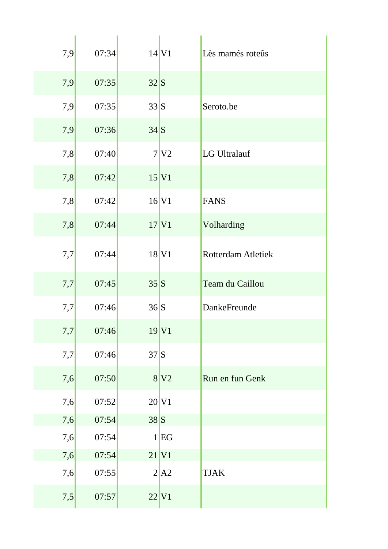| 7,9 | 07:34 |             | $14$ V <sub>1</sub>       | Lès mamés roteûs          |
|-----|-------|-------------|---------------------------|---------------------------|
| 7,9 | 07:35 | $32\vert S$ |                           |                           |
| 7,9 | 07:35 | $33\vert S$ |                           | Seroto.be                 |
| 7,9 | 07:36 | 34S         |                           |                           |
| 7,8 | 07:40 |             | 7 V2                      | LG Ultralauf              |
| 7,8 | 07:42 |             | 15 V1                     |                           |
| 7,8 | 07:42 |             | $16$ V <sub>1</sub>       | <b>FANS</b>               |
| 7,8 | 07:44 |             | $17$ V <sub>1</sub>       | Volharding                |
| 7,7 | 07:44 |             | $18$ V <sub>1</sub>       | <b>Rotterdam Atletiek</b> |
| 7,7 | 07:45 | $35\vert S$ |                           | Team du Caillou           |
| 7,7 | 07:46 | 36S         |                           | DankeFreunde              |
| 7,7 | 07:46 |             | 19 V1                     |                           |
| 7,7 | 07:46 | 37S         |                           |                           |
| 7,6 | 07:50 |             | $8\overline{\mathrm{V2}}$ | Run en fun Genk           |
| 7,6 | 07:52 |             | $20$ V <sub>1</sub>       |                           |
| 7,6 | 07:54 | 38S         |                           |                           |
| 7,6 | 07:54 |             | 1 EG                      |                           |
| 7,6 | 07:54 |             | $21$ V <sub>1</sub>       |                           |
| 7,6 | 07:55 |             | 2 A2                      | <b>TJAK</b>               |
|     |       |             |                           |                           |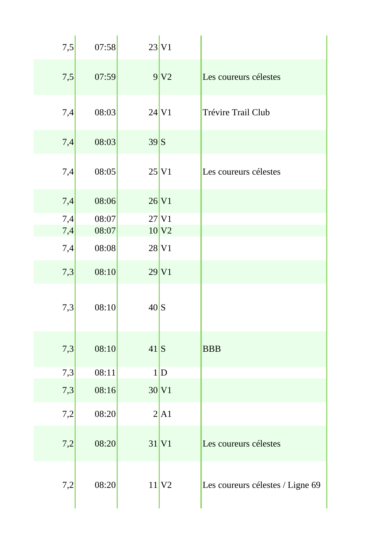| 7,5        | 07:58          |                | $23$ V <sub>1</sub>                        |                                  |
|------------|----------------|----------------|--------------------------------------------|----------------------------------|
| 7,5        | 07:59          |                | 9 V2                                       | Les coureurs célestes            |
| 7,4        | 08:03          |                | $24$ V <sub>1</sub>                        | Trévire Trail Club               |
| 7,4        | 08:03          | 39S            |                                            |                                  |
| 7,4        | 08:05          |                | $25$ V <sub>1</sub>                        | Les coureurs célestes            |
| 7,4        | 08:06          |                | $26$ V <sub>1</sub>                        |                                  |
| 7,4        | 08:07<br>08:07 |                | $27$ V <sub>1</sub><br>$10$ V <sub>2</sub> |                                  |
| 7,4<br>7,4 | 08:08          |                | $28$ V <sub>1</sub>                        |                                  |
|            |                |                |                                            |                                  |
| 7,3        | 08:10          |                | $29$ V <sub>1</sub>                        |                                  |
| 7,3        | 08:10          | $40\mathrm{S}$ |                                            |                                  |
| 7,3        | 08:10          | $41\text{S}$   |                                            | <b>BBB</b>                       |
| 7,3        | 08:11          |                | 1 D                                        |                                  |
| 7,3        | 08:16          |                | $30$ V <sub>1</sub>                        |                                  |
| 7,2        | 08:20          |                | 2 A1                                       |                                  |
| 7,2        | 08:20          |                | $31$ V <sub>1</sub>                        | Les coureurs célestes            |
| 7,2        | 08:20          |                | $11$ $V2$                                  | Les coureurs célestes / Ligne 69 |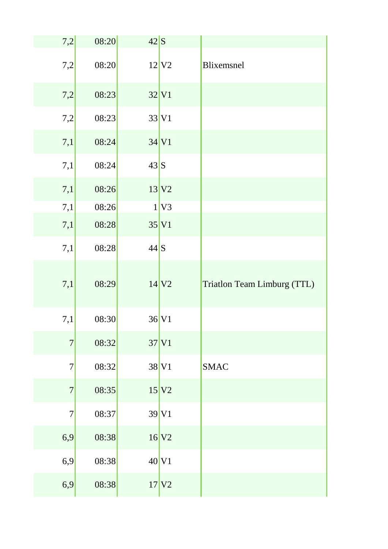| 7,2              | 08:20 | $42\text{S}$ |                     |                             |
|------------------|-------|--------------|---------------------|-----------------------------|
| 7,2              | 08:20 |              | $12$ V <sub>2</sub> | Blixemsnel                  |
| 7,2              | 08:23 |              | $32$ V <sub>1</sub> |                             |
| 7,2              | 08:23 |              | $33$ V <sub>1</sub> |                             |
| 7,1              | 08:24 |              | $34$ V <sub>1</sub> |                             |
| 7,1              | 08:24 | 43S          |                     |                             |
| 7,1              | 08:26 |              | 13 V2               |                             |
| 7,1              | 08:26 |              | $1$ V <sub>3</sub>  |                             |
| 7,1              | 08:28 |              | 35 V1               |                             |
| 7,1              | 08:28 | $44$ S       |                     |                             |
|                  |       |              |                     |                             |
| 7,1              | 08:29 |              | $14$ V <sub>2</sub> | Triatlon Team Limburg (TTL) |
| 7,1              | 08:30 |              | $36$ V <sub>1</sub> |                             |
| $\boldsymbol{7}$ | 08:32 |              | $37$ V1             |                             |
| $\tau$           | 08:32 |              | $38$ V <sub>1</sub> | <b>SMAC</b>                 |
| $\boldsymbol{7}$ | 08:35 |              | 15 V2               |                             |
| 7                | 08:37 |              | $39$ V <sub>1</sub> |                             |
| 6,9              | 08:38 |              | $16$ V <sub>2</sub> |                             |
| 6,9              | 08:38 |              | $40$ V <sub>1</sub> |                             |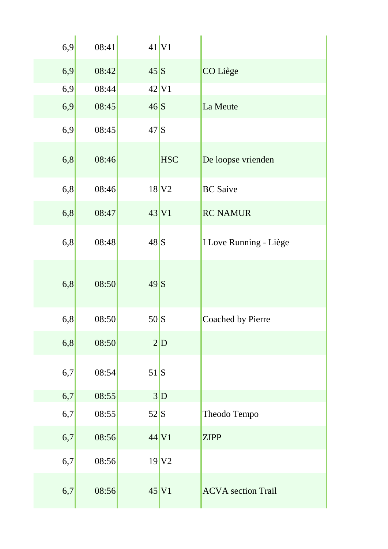| 6,9 | 08:41 |          | $41$ V <sub>1</sub>     |                           |
|-----|-------|----------|-------------------------|---------------------------|
| 6,9 | 08:42 | 45S      |                         | CO Liège                  |
| 6,9 | 08:44 |          | $42$ V <sub>1</sub>     |                           |
| 6,9 | 08:45 | 46S      |                         | La Meute                  |
| 6,9 | 08:45 | 47S      |                         |                           |
| 6,8 | 08:46 |          | <b>HSC</b>              | De loopse vrienden        |
| 6,8 | 08:46 |          | $18$ V <sub>2</sub>     | <b>BC</b> Saive           |
| 6,8 | 08:47 |          | $43$ V <sub>1</sub>     | <b>RC NAMUR</b>           |
| 6,8 | 08:48 | 48S      |                         | I Love Running - Liège    |
| 6,8 | 08:50 | 49S      |                         |                           |
| 6,8 | 08:50 | 50S      |                         | Coached by Pierre         |
| 6,8 | 08:50 |          | $2\vert\mathbf{D}\vert$ |                           |
| 6,7 | 08:54 | 51S      |                         |                           |
| 6,7 | 08:55 |          | $3\vert\mathbf{D}$      |                           |
| 6,7 | 08:55 | $52$ $S$ |                         | Theodo Tempo              |
| 6,7 | 08:56 |          | $44$ V1                 | <b>ZIPP</b>               |
| 6,7 | 08:56 |          | $19$ V <sub>2</sub>     |                           |
| 6,7 | 08:56 |          | $45$ V <sub>1</sub>     | <b>ACVA</b> section Trail |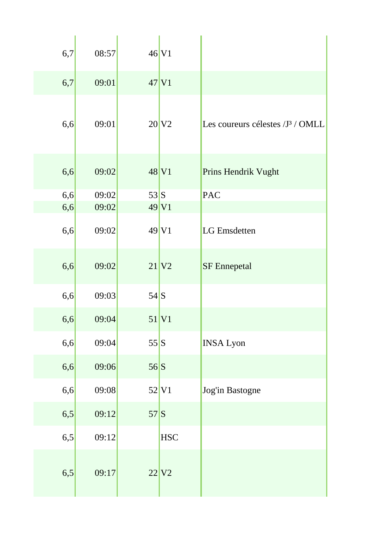| 6,7 | 08:57 |     | $46$ V1             |                                              |
|-----|-------|-----|---------------------|----------------------------------------------|
| 6,7 | 09:01 |     | $47$ V1             |                                              |
| 6,6 | 09:01 |     | $20$ V <sub>2</sub> | Les coureurs célestes /J <sup>3</sup> / OMLL |
| 6,6 | 09:02 |     | 48 V1               | Prins Hendrik Vught                          |
| 6,6 | 09:02 | 53S |                     | <b>PAC</b>                                   |
| 6,6 | 09:02 |     | $49$ V1             |                                              |
| 6,6 | 09:02 |     | $49$ V1             | <b>LG</b> Emsdetten                          |
| 6,6 | 09:02 |     | $21$ V <sub>2</sub> | <b>SF</b> Ennepetal                          |
| 6,6 | 09:03 | 54S |                     |                                              |
| 6,6 | 09:04 |     | 51 V1               |                                              |
| 6,6 | 09:04 | 55S |                     | <b>INSA Lyon</b>                             |
| 6,6 | 09:06 | 56S |                     |                                              |
| 6,6 | 09:08 |     | 52 V1               | Jog'in Bastogne                              |
| 6,5 | 09:12 | 57S |                     |                                              |
| 6,5 | 09:12 |     | <b>HSC</b>          |                                              |
| 6,5 | 09:17 |     | $22$ V <sub>2</sub> |                                              |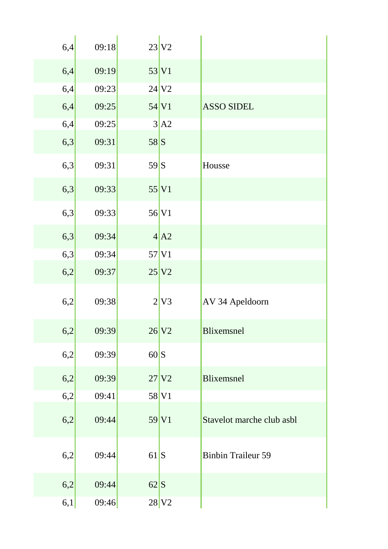| 6,4 | 09:18 |                | $23$ V <sub>2</sub> |                           |
|-----|-------|----------------|---------------------|---------------------------|
| 6,4 | 09:19 |                | 53 V1               |                           |
| 6,4 | 09:23 |                | $24$ V <sub>2</sub> |                           |
| 6,4 | 09:25 |                | $54$ V <sub>1</sub> | <b>ASSO SIDEL</b>         |
| 6,4 | 09:25 |                | 3 A2                |                           |
| 6,3 | 09:31 | 58S            |                     |                           |
| 6,3 | 09:31 | 59S            |                     | Housse                    |
| 6,3 | 09:33 |                | 55 V1               |                           |
| 6,3 | 09:33 |                | $56$ V <sub>1</sub> |                           |
| 6,3 | 09:34 |                | 4 A2                |                           |
| 6,3 | 09:34 |                | $57$ V <sub>1</sub> |                           |
| 6,2 | 09:37 |                | 25 V2               |                           |
| 6,2 | 09:38 |                | 2 V3                | AV 34 Apeldoorn           |
| 6,2 | 09:39 |                | $26$ V <sub>2</sub> | <b>Blixemsnel</b>         |
| 6,2 | 09:39 | $60 \text{ S}$ |                     |                           |
| 6,2 | 09:39 |                | $27$ $V2$           | <b>Blixemsnel</b>         |
| 6,2 | 09:41 |                | 58 V1               |                           |
| 6,2 | 09:44 |                | 59 V1               | Stavelot marche club asbl |
| 6,2 | 09:44 | 61S            |                     | <b>Binbin Traileur 59</b> |
| 6,2 | 09:44 | $62\vert S$    |                     |                           |
| 6,1 | 09:46 |                | $28$ V <sub>2</sub> |                           |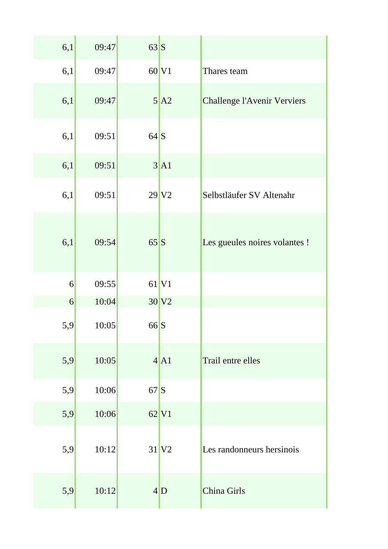| 6,1             | 09:47 | 63S |                         |                                    |
|-----------------|-------|-----|-------------------------|------------------------------------|
| 6,1             | 09:47 |     | 60 V1                   | Thares team                        |
| 6,1             | 09:47 |     | $5\overline{A2}$        | <b>Challenge l'Avenir Verviers</b> |
| 6,1             | 09:51 | 64S |                         |                                    |
| 6,1             | 09:51 |     | 3 A1                    |                                    |
| 6,1             | 09:51 |     | $29$ V <sub>2</sub>     | Selbstläufer SV Altenahr           |
| 6,1             | 09:54 | 65S |                         | Les gueules noires volantes !      |
| 6               | 09:55 |     | $61$ V <sub>1</sub>     |                                    |
| $\vert 6 \vert$ | 10:04 |     | $30\vert\mathrm{V2}$    |                                    |
| 5,9             | 10:05 | 66S |                         |                                    |
| 5,9             | 10:05 |     | 4 A1                    | Trail entre elles                  |
| 5,9             | 10:06 | 67S |                         |                                    |
| 5,9             | 10:06 |     | $62$ V <sub>1</sub>     |                                    |
| 5,9             | 10:12 |     | $31$ V <sub>2</sub>     | Les randonneurs hersinois          |
| 5,9             | 10:12 |     | $4\vert\mathbf{D}\vert$ | China Girls                        |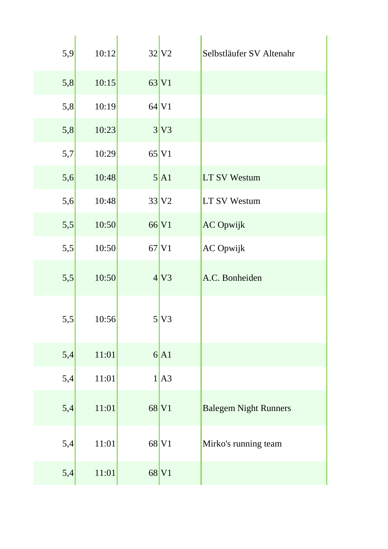| 5,9 | 10:12 | $32$ V <sub>2</sub> | Selbstläufer SV Altenahr     |
|-----|-------|---------------------|------------------------------|
| 5,8 | 10:15 | 63 V1               |                              |
| 5,8 | 10:19 | $64$ V <sub>1</sub> |                              |
| 5,8 | 10:23 | 3 V3                |                              |
| 5,7 | 10:29 | $65$ V <sub>1</sub> |                              |
| 5,6 | 10:48 | 5 A1                | <b>LT SV Westum</b>          |
| 5,6 | 10:48 | $33$ V <sub>2</sub> | <b>LT SV Westum</b>          |
| 5,5 | 10:50 | 66 V1               | <b>AC Opwijk</b>             |
| 5,5 | 10:50 | $67$ V <sub>1</sub> | <b>AC</b> Opwijk             |
| 5,5 | 10:50 | 4 V3                | A.C. Bonheiden               |
| 5,5 | 10:56 | 5 V3                |                              |
| 5,4 | 11:01 | 6 A1                |                              |
| 5,4 | 11:01 | 1 A3                |                              |
| 5,4 | 11:01 | 68 V1               | <b>Balegem Night Runners</b> |
| 5,4 | 11:01 | 68 V1               | Mirko's running team         |
| 5,4 | 11:01 | 68 V1               |                              |